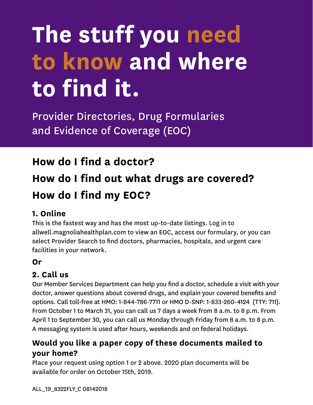# **The stuff you need to know and where to find it.**

Provider Directories, Drug Formularies and Evidence of Coverage (EOC)

### **How do I find a doctor?**

## **How do I find out what drugs are covered? How do I find my EOC?**

#### **1. Online**

This is the fastest way and has the most up-to-date listings. Log in to allwell.magnoliahealthplan.com to view an EOC, access our formulary, or you can select Provider Search to find doctors, pharmacies, hospitals, and urgent care facilities in your network.

#### **Or**

#### **2. Call us**

Our Member Services Department can help you find a doctor, schedule a visit with your doctor, answer questions about covered drugs, and explain your covered benefits and options. Call toll-free at HMO: 1-844-786-7711 or HMO D-SNP: 1-833-260-4124 (TTY: 711). From October 1 to March 31, you can call us 7 days a week from 8 a.m. to 8 p.m. From April 1 to September 30, you can call us Monday through Friday from 8 a.m. to 8 p.m. A messaging system is used after hours, weekends and on federal holidays.

#### **Would you like a paper copy of these documents mailed to your home?**

Place your request using option 1 or 2 above. 2020 plan documents will be available for order on October 15th, 2019.